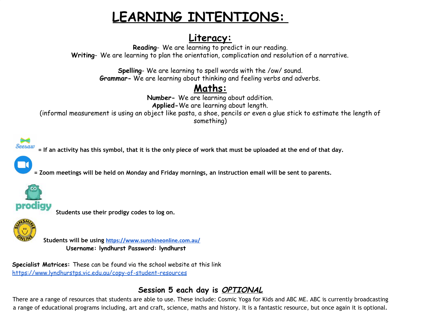# **LEARNING INTENTIONS:**

# **Literacy:**

**Reading**- We are learning to predict in our reading. **Writing**- We are learning to plan the orientation, complication and resolution of a narrative.

> **Spelling**- We are learning to spell words with the /ow/ sound. **Grammar-** We are learning about thinking and feeling verbs and adverbs.

# **Maths:**

**Number-** We are learning about addition. **Applied-**We are learning about length.

(informal measurement is using an object like pasta, a shoe, pencils or even a glue stick to estimate the length of something)



= If an activity has this symbol, that it is the only piece of work that must be uploaded at the end of that day.



= Zoom meetings will be held on Monday and Friday mornings, an instruction email will be sent to parents.



**Students use their prodigy codes to log on.**



**Students will be using <https://www.sunshineonline.com.au/> Username: lyndhurst Password: lyndhurst**

**Specialist Matrices:** These can be found via the school website at this link <https://www.lyndhurstps.vic.edu.au/copy-of-student-resources>

# **Session 5 each day is OPTIONAL**

There are a range of resources that students are able to use. These include: Cosmic Yoga for Kids and ABC ME. ABC is currently broadcasting a range of educational programs including, art and craft, science, maths and history. It is a fantastic resource, but once again it is optional.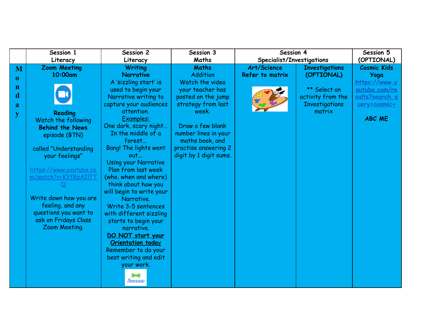|             | Session 1                                  | Session 2                          | Session 3              | Session 4                 |                       | Session 5          |
|-------------|--------------------------------------------|------------------------------------|------------------------|---------------------------|-----------------------|--------------------|
|             | Literacy                                   | Literacy                           | Maths                  | Specialist/Investigations |                       | (OPTIONAL)         |
| M           | <b>Zoom Meeting</b>                        | <b>Writing</b>                     | <b>Maths</b>           | Art/Science               | <b>Investigations</b> | <b>Cosmic Kids</b> |
| $\bf{0}$    | 10:00am                                    | <b>Narrative</b>                   | <b>Addition</b>        | Refer to matrix           | (OPTIONAL)            | Yoga               |
|             |                                            | A 'sizzling start' is              | Watch the video        |                           |                       | https://www.y      |
| $\mathbf n$ |                                            | used to begin your                 | your teacher has       |                           | ** Select an          | outube.com/re      |
| d           |                                            | Narrative writing to               | posted on the jump     |                           | activity from the     | sults?search a     |
| a           |                                            | capture your audiences             | strategy from last     |                           | <b>Investigations</b> | uery=cosmic+       |
| y           | Reading                                    | attention.                         | week.                  |                           | matrix                |                    |
|             | Watch the following                        | Examples:                          |                        |                           |                       | <b>ABC ME</b>      |
|             | <b>Behind the News</b>                     | One dark, scary night              | Draw a few blank       |                           |                       |                    |
|             | episode (BTN)                              | In the middle of a                 | number lines in your   |                           |                       |                    |
|             |                                            | forest                             | maths book, and        |                           |                       |                    |
|             | called "Understanding                      | <b>Bang! The lights went</b>       | practise answering 2   |                           |                       |                    |
|             | your feelings"                             | out                                | digit by 1 digit sums. |                           |                       |                    |
|             |                                            | <b>Using your Narrative</b>        |                        |                           |                       |                    |
|             | https://www.youtube.co                     | Plan from last week                |                        |                           |                       |                    |
|             | m/watch?v=KYfRzAIl7T                       | (who, when and where)              |                        |                           |                       |                    |
|             |                                            | think about how you                |                        |                           |                       |                    |
|             |                                            | will begin to write your           |                        |                           |                       |                    |
|             | Write down how you are<br>feeling, and any | Narrative.                         |                        |                           |                       |                    |
|             | questions you want to                      | Write 3-5 sentences                |                        |                           |                       |                    |
|             | ask on Fridays Class                       | with different sizzling            |                        |                           |                       |                    |
|             | Zoom Meeting.                              | starts to begin your<br>narrative. |                        |                           |                       |                    |
|             |                                            | DO NOT start your                  |                        |                           |                       |                    |
|             |                                            | <b>Orientation today</b>           |                        |                           |                       |                    |
|             |                                            | Remember to do your                |                        |                           |                       |                    |
|             |                                            | best writing and edit              |                        |                           |                       |                    |
|             |                                            | your work.                         |                        |                           |                       |                    |
|             |                                            |                                    |                        |                           |                       |                    |
|             |                                            | <b>Seesaw</b>                      |                        |                           |                       |                    |
|             |                                            |                                    |                        |                           |                       |                    |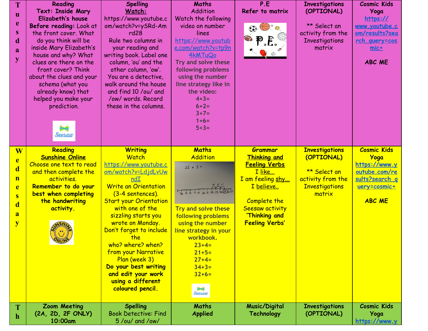| T<br>$\mathbf{u}$<br>e<br>S.<br>d<br>a<br>y                              | Reading<br><b>Text: Inside Mary</b><br>Elizabeth's house<br>Before reading: Look at<br>the front cover. What<br>do you think will be<br>inside Mary Elizabeth's<br>house and why? What<br>clues are there on the<br>front cover? Think<br>about the clues and your<br>schema (what you<br>already know) that<br>helped you make your<br>prediction.<br>Seesaw | <b>Spelling</b><br>Watch:<br>https://www.youtube.c<br>om/watch?v=ySRd-Am<br>rd28<br>Rule two columns in<br>your reading and<br>writing book. Label one<br>column, 'ou' and the<br>other column, 'ow'.<br>You are a detective,<br>walk around the house<br>and find 10 /ou/ and<br>/ow/ words, Record<br>these in the columns.                                                                                          | Maths<br><b>Addition</b><br>Watch the following<br>video on number<br>lines<br>https://www.youtub<br>e.com/watch?v=tp9n<br>4kMTuQo<br>Try and solve these<br>following problems<br>using the number<br>line strategy like in<br>the video:<br>$4 + 3 =$<br>$6 + 2 =$<br>$3+7=$<br>$1+6=$<br>$5 + 3 =$ | P.E<br>Refer to matrix<br>$\bigoplus_{\alpha} A$<br>P F.                                                                                                                              | <b>Investigations</b><br>(OPTIONAL)<br>** Select an<br>activity from the<br><b>Investigations</b><br>matrix | <b>Cosmic Kids</b><br>Yoga<br>https://<br>www.youtube.c<br><u>om/results?sea</u><br><u>rch guery=cos</u><br>$mic+$<br><b>ABC ME</b>  |
|--------------------------------------------------------------------------|---------------------------------------------------------------------------------------------------------------------------------------------------------------------------------------------------------------------------------------------------------------------------------------------------------------------------------------------------------------|------------------------------------------------------------------------------------------------------------------------------------------------------------------------------------------------------------------------------------------------------------------------------------------------------------------------------------------------------------------------------------------------------------------------|-------------------------------------------------------------------------------------------------------------------------------------------------------------------------------------------------------------------------------------------------------------------------------------------------------|---------------------------------------------------------------------------------------------------------------------------------------------------------------------------------------|-------------------------------------------------------------------------------------------------------------|--------------------------------------------------------------------------------------------------------------------------------------|
| W<br>e<br>$\mathbf{d}$<br>$\mathbf n$<br>e<br>S<br>$\mathbf d$<br>a<br>y | Reading<br><b>Sunshine Online</b><br>Choose one text to read<br>and then complete the<br>activities.<br>Remember to do your<br>best when completing<br>the handwriting<br>activity.                                                                                                                                                                           | <b>Writing</b><br>Watch<br>https://www.youtube.c<br>om/watch?v=LdidLvUw<br>ndI<br><b>Write an Orientation</b><br>(3-4 sentences).<br><b>Start your Orientation</b><br>with one of the<br>sizzling starts you<br>wrote on Monday.<br>Don't forget to include<br>the<br>who? where? when?<br>from your Narrative<br>Plan (week 3)<br>Do your best writing<br>and edit your work<br>using a different<br>coloured pencil. | <b>Maths</b><br><b>Addition</b><br>$22 + 3 =$<br>14 15 16 17 19 20 21 22 23 24 25 26 27<br><b>Try and solve these</b><br>following problems<br>using the number<br>line strategy in your<br>workbook.<br>$23+4=$<br>$21 + 5 =$<br>$27 + 4=$<br>$34 + 3 =$<br>$32+6=$<br>₩<br><b>Seesaw</b>            | Grammar<br><b>Thinking and</b><br><b>Feeling Verbs</b><br>I like<br>I am feeling shy<br><u>I believe</u><br>Complete the<br>Seesaw activity<br>'Thinking and<br><b>Feeling Verbs'</b> | <b>Investigations</b><br>(OPTIONAL)<br>** Select an<br>activity from the<br><b>Investigations</b><br>matrix | <b>Cosmic Kids</b><br>Yoga<br>https://www.y<br><u>outube.com/re</u><br><u>sults?search_g</u><br><u>uery=cosmic+</u><br><b>ABC ME</b> |
| $\mathbf h$                                                              | <b>Zoom Meeting</b><br>(2A, 2D, 2F ONLY)<br>10:00am                                                                                                                                                                                                                                                                                                           | <b>Spelling</b><br><b>Book Detective: Find</b><br>5/ou/ and /ow/                                                                                                                                                                                                                                                                                                                                                       | Maths<br><b>Applied</b>                                                                                                                                                                                                                                                                               | <b>Music/Digital</b><br>Technology                                                                                                                                                    | <b>Investigations</b><br>(OPTIONAL)                                                                         | <b>Cosmic Kids</b><br>Yoga<br>https://www.y                                                                                          |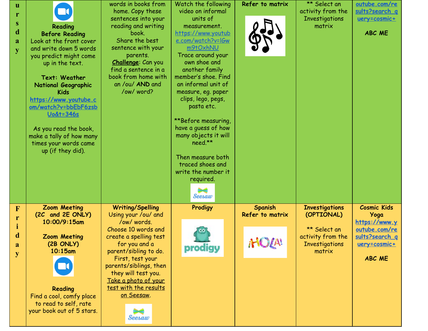| u<br>r<br>${\bf S}$<br>d<br>a<br>$\overline{\mathbf{V}}$ | Reading<br><b>Before Reading</b><br>Look at the front cover<br>and write down 5 words<br>you predict might come<br>up in the text.<br>Text: Weather<br>National Geographic<br><b>Kids</b><br>https://www.youtube.c<br>om/watch?v=bbEbF6zsb<br><u> Uo&amp;t=346s</u><br>As you read the book,<br>make a tally of how many<br>times your words came<br>up (if they did). | words in books from<br>home. Copy these<br>sentences into your<br>reading and writing<br>book.<br>Share the best<br>sentence with your<br>parents.<br>Challenge: Can you<br>find a sentence in a<br>book from home with<br>an /ou/ AND and<br>/ow/word?                                                       | Watch the following<br>video on informal<br>units of<br>measurement.<br>https://www.youtub<br><u>e.com/watch?v=l6w</u><br>m9tOxhNU<br>Trace around your<br>own shoe and<br>another family<br>member's shoe. Find<br>an informal unit of<br>measure, eg. paper<br>clips, lego, pegs,<br>pasta etc.<br>**Before measuring,<br>have a guess of how<br>many objects it will<br>need.**<br>Then measure both<br>traced shoes and<br>write the number it<br>required.<br><b>Seesaw</b> | Refer to matrix                             | ** Select an<br>activity from the<br><b>Investigations</b><br>matrix                                        | outube.com/re<br>sults?search q<br>uery=cosmic+<br><b>ABC ME</b>                                                |
|----------------------------------------------------------|------------------------------------------------------------------------------------------------------------------------------------------------------------------------------------------------------------------------------------------------------------------------------------------------------------------------------------------------------------------------|---------------------------------------------------------------------------------------------------------------------------------------------------------------------------------------------------------------------------------------------------------------------------------------------------------------|----------------------------------------------------------------------------------------------------------------------------------------------------------------------------------------------------------------------------------------------------------------------------------------------------------------------------------------------------------------------------------------------------------------------------------------------------------------------------------|---------------------------------------------|-------------------------------------------------------------------------------------------------------------|-----------------------------------------------------------------------------------------------------------------|
| $\overline{\mathbf{F}}$<br>r<br>$\mathbf d$<br>a<br>V    | <b>Zoom Meeting</b><br>(2C and 2E ONLY)<br>10:00/9:15am<br><b>Zoom Meeting</b><br>(2B ONLY)<br>$10:15$ am<br>Reading<br>Find a cool, comfy place<br>to read to self, rate<br>your book out of 5 stars.                                                                                                                                                                 | <b>Writing/Spelling</b><br>Using your /ou/ and<br>/ow/ words.<br>Choose 10 words and<br>create a spelling test<br>for you and a<br>parent/sibling to do.<br>First, test your<br>parents/siblings, then<br>they will test you.<br>Take a photo of your<br>test with the results<br>on Seesaw.<br><b>Seesaw</b> | Prodigy<br>prodigy                                                                                                                                                                                                                                                                                                                                                                                                                                                               | <b>Spanish</b><br>Refer to matrix<br>WASHIM | <b>Investigations</b><br>(OPTIONAL)<br>** Select an<br>activity from the<br><b>Investigations</b><br>matrix | <b>Cosmic Kids</b><br>Yoga<br>https://www.y<br>outube.com/re<br>sults?search q<br>uery=cosmic+<br><b>ABC ME</b> |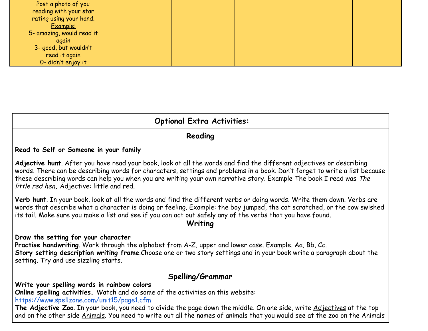| Post a photo of you       |  |  |  |
|---------------------------|--|--|--|
| reading with your star    |  |  |  |
| rating using your hand.   |  |  |  |
| Example:                  |  |  |  |
| 5- amazing, would read it |  |  |  |
| again                     |  |  |  |
| 3- good, but wouldn't     |  |  |  |
| read it again             |  |  |  |
| 0- didn't enjoy it        |  |  |  |

## **Optional Extra Activities:**

### **Reading**

#### **Read to Self or Someone in your family**

**Adjective hunt**. After you have read your book, look at all the words and find the different adjectives or describing words. There can be describing words for characters, settings and problems in a book. Don't forget to write a list because these describing words can help you when you are writing your own narrative story. Example The book I read was The little red hen**,** Adjective: little and red.

**Verb hunt**. In your book, look at all the words and find the different verbs or doing words. Write them down. Verbs are words that describe what a character is doing or feeling. Example: the boy jumped, the cat scratched, or the cow swished its tail. Make sure you make a list and see if you can act out safely any of the verbs that you have found.

### **Writing**

#### **Draw the setting for your character**

**Practise handwriting**. Work through the alphabet from A-Z, upper and lower case. Example. Aa, Bb, Cc. **Story setting description writing frame**.Choose one or two story settings and in your book write a paragraph about the setting. Try and use sizzling starts.

### **Spelling/Grammar**

**Write your spelling words in rainbow colors**

**Online spelling activities.** Watch and do some of the activities on this website:

<https://www.spellzone.com/unit15/page1.cfm>

**The Adjective Zoo**. In your book, you need to divide the page down the middle. On one side, write Adjectives at the top and on the other side Animals. You need to write out all the names of animals that you would see at the zoo on the Animals